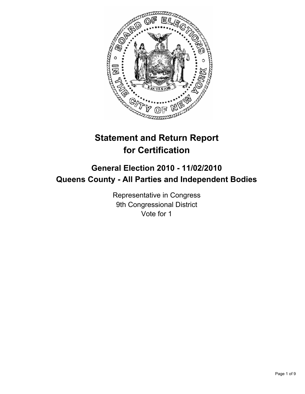

# **Statement and Return Report for Certification**

## **General Election 2010 - 11/02/2010 Queens County - All Parties and Independent Bodies**

Representative in Congress 9th Congressional District Vote for 1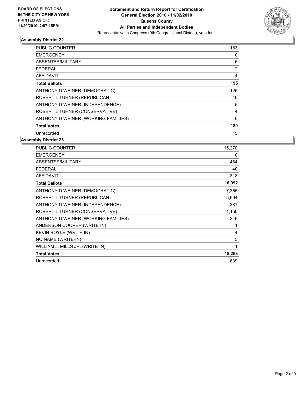

| <b>PUBLIC COUNTER</b>               | 183 |
|-------------------------------------|-----|
| <b>EMERGENCY</b>                    | 0   |
| ABSENTEE/MILITARY                   | 6   |
| <b>FEDERAL</b>                      | 2   |
| <b>AFFIDAVIT</b>                    | 4   |
| <b>Total Ballots</b>                | 195 |
| ANTHONY D WEINER (DEMOCRATIC)       | 125 |
| ROBERT L TURNER (REPUBLICAN)        | 40  |
| ANTHONY D WEINER (INDEPENDENCE)     | 5   |
| ROBERT L TURNER (CONSERVATIVE)      | 4   |
| ANTHONY D WEINER (WORKING FAMILIES) | 6   |
| <b>Total Votes</b>                  | 180 |
| Unrecorded                          | 15  |

| <b>PUBLIC COUNTER</b>               | 15,270 |
|-------------------------------------|--------|
| <b>EMERGENCY</b>                    | 0      |
| ABSENTEE/MILITARY                   | 464    |
| <b>FEDERAL</b>                      | 40     |
| <b>AFFIDAVIT</b>                    | 318    |
| <b>Total Ballots</b>                | 16,092 |
| ANTHONY D WEINER (DEMOCRATIC)       | 7,365  |
| ROBERT L TURNER (REPUBLICAN)        | 5,994  |
| ANTHONY D WEINER (INDEPENDENCE)     | 387    |
| ROBERT L TURNER (CONSERVATIVE)      | 1,150  |
| ANTHONY D WEINER (WORKING FAMILIES) | 346    |
| ANDERSON COOPER (WRITE-IN)          | 1      |
| KEVIN BOYLE (WRITE-IN)              | 4      |
| NO NAME (WRITE-IN)                  | 5      |
| WILLIAM J. MILLS JR. (WRITE-IN)     | 1      |
| <b>Total Votes</b>                  | 15,253 |
| Unrecorded                          | 839    |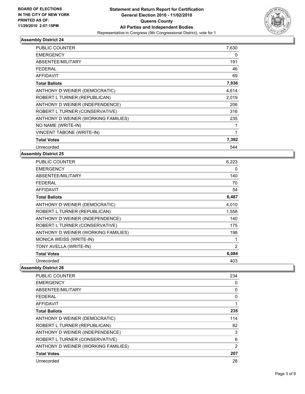

| <b>PUBLIC COUNTER</b>               | 7,630 |
|-------------------------------------|-------|
| <b>EMERGENCY</b>                    | 0     |
| ABSENTEE/MILITARY                   | 191   |
| <b>FEDERAL</b>                      | 46    |
| <b>AFFIDAVIT</b>                    | 69    |
| <b>Total Ballots</b>                | 7,936 |
| ANTHONY D WEINER (DEMOCRATIC)       | 4,614 |
| ROBERT L TURNER (REPUBLICAN)        | 2,019 |
| ANTHONY D WEINER (INDEPENDENCE)     | 206   |
| ROBERT L TURNER (CONSERVATIVE)      | 316   |
| ANTHONY D WEINER (WORKING FAMILIES) | 235   |
| NO NAME (WRITE-IN)                  | 1     |
| <b>VINCENT TABONE (WRITE-IN)</b>    | 1     |
| <b>Total Votes</b>                  | 7,392 |
| Unrecorded                          | 544   |

#### **Assembly District 25**

| PUBLIC COUNTER                      | 6,223 |
|-------------------------------------|-------|
| <b>EMERGENCY</b>                    | 0     |
| ABSENTEE/MILITARY                   | 140   |
| FEDERAL                             | 70    |
| AFFIDAVIT                           | 54    |
| <b>Total Ballots</b>                | 6,487 |
| ANTHONY D WEINER (DEMOCRATIC)       | 4,010 |
| ROBERT L TURNER (REPUBLICAN)        | 1,558 |
| ANTHONY D WEINER (INDEPENDENCE)     | 140   |
| ROBERT L TURNER (CONSERVATIVE)      | 175   |
| ANTHONY D WEINER (WORKING FAMILIES) | 198   |
| MONICA WEISS (WRITE-IN)             | 1     |
| TONY AVELLA (WRITE-IN)              | 2     |
| <b>Total Votes</b>                  | 6,084 |
| Unrecorded                          | 403   |

| <b>PUBLIC COUNTER</b>               | 234            |
|-------------------------------------|----------------|
| <b>EMERGENCY</b>                    | 0              |
| ABSENTEE/MILITARY                   | 0              |
| <b>FEDERAL</b>                      | $\Omega$       |
| AFFIDAVIT                           | 1              |
| <b>Total Ballots</b>                | 235            |
| ANTHONY D WEINER (DEMOCRATIC)       | 114            |
| ROBERT L TURNER (REPUBLICAN)        | 82             |
| ANTHONY D WEINER (INDEPENDENCE)     | 3              |
| ROBERT L TURNER (CONSERVATIVE)      | 6              |
| ANTHONY D WEINER (WORKING FAMILIES) | $\overline{2}$ |
| <b>Total Votes</b>                  | 207            |
| Unrecorded                          | 28             |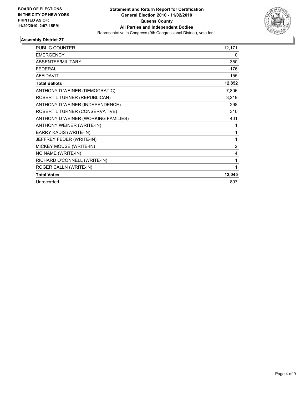

| <b>PUBLIC COUNTER</b>               | 12,171 |
|-------------------------------------|--------|
| <b>EMERGENCY</b>                    | 0      |
| <b>ABSENTEE/MILITARY</b>            | 350    |
| <b>FEDERAL</b>                      | 176    |
| <b>AFFIDAVIT</b>                    | 155    |
| <b>Total Ballots</b>                | 12,852 |
| ANTHONY D WEINER (DEMOCRATIC)       | 7,806  |
| ROBERT L TURNER (REPUBLICAN)        | 3,219  |
| ANTHONY D WEINER (INDEPENDENCE)     | 298    |
| ROBERT L TURNER (CONSERVATIVE)      | 310    |
| ANTHONY D WEINER (WORKING FAMILIES) | 401    |
| ANTHONY WEINER (WRITE-IN)           | 1      |
| <b>BARRY KADIS (WRITE-IN)</b>       | 1      |
| JEFFREY FEDER (WRITE-IN)            | 1      |
| MICKEY MOUSE (WRITE-IN)             | 2      |
| NO NAME (WRITE-IN)                  | 4      |
| RICHARD O'CONNELL (WRITE-IN)        | 1      |
| ROGER CALLN (WRITE-IN)              | 1      |
| <b>Total Votes</b>                  | 12,045 |
| Unrecorded                          | 807    |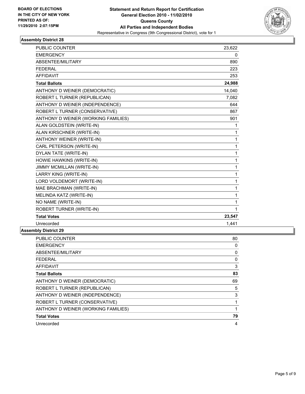

| <b>PUBLIC COUNTER</b>               | 23,622 |
|-------------------------------------|--------|
| <b>EMERGENCY</b>                    | 0      |
| ABSENTEE/MILITARY                   | 890    |
| <b>FEDERAL</b>                      | 223    |
| <b>AFFIDAVIT</b>                    | 253    |
| <b>Total Ballots</b>                | 24,988 |
| ANTHONY D WEINER (DEMOCRATIC)       | 14,040 |
| ROBERT L TURNER (REPUBLICAN)        | 7,082  |
| ANTHONY D WEINER (INDEPENDENCE)     | 644    |
| ROBERT L TURNER (CONSERVATIVE)      | 867    |
| ANTHONY D WEINER (WORKING FAMILIES) | 901    |
| ALAN GOLDSTEIN (WRITE-IN)           | 1      |
| ALAN KIRSCHNER (WRITE-IN)           | 1      |
| ANTHONY WEINER (WRITE-IN)           | 1      |
| CARL PETERSON (WRITE-IN)            | 1      |
| DYLAN TATE (WRITE-IN)               | 1      |
| HOWIE HAWKINS (WRITE-IN)            | 1      |
| <b>JIMMY MCMILLAN (WRITE-IN)</b>    | 1      |
| LARRY KING (WRITE-IN)               | 1      |
| LORD VOLDEMORT (WRITE-IN)           | 1      |
| MAE BRACHMAN (WRITE-IN)             | 1      |
| MELINDA KATZ (WRITE-IN)             | 1      |
| NO NAME (WRITE-IN)                  | 1      |
| <b>ROBERT TURNER (WRITE-IN)</b>     | 1      |
| <b>Total Votes</b>                  | 23,547 |
| Unrecorded                          | 1,441  |
| ۵۸ افغانسان (ماردا)                 |        |

| <b>PUBLIC COUNTER</b>               | 80 |
|-------------------------------------|----|
| <b>EMERGENCY</b>                    | 0  |
| ABSENTEE/MILITARY                   | 0  |
| <b>FEDERAL</b>                      | 0  |
| <b>AFFIDAVIT</b>                    | 3  |
| <b>Total Ballots</b>                | 83 |
| ANTHONY D WEINER (DEMOCRATIC)       | 69 |
| ROBERT L TURNER (REPUBLICAN)        | 5  |
| ANTHONY D WEINER (INDEPENDENCE)     | 3  |
| ROBERT L TURNER (CONSERVATIVE)      | 1  |
| ANTHONY D WEINER (WORKING FAMILIES) | 1  |
| <b>Total Votes</b>                  | 79 |
| Unrecorded                          | 4  |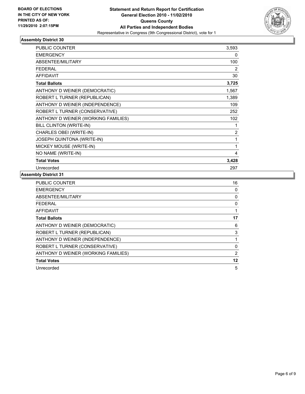

| <b>PUBLIC COUNTER</b>               | 3,593 |
|-------------------------------------|-------|
| <b>EMERGENCY</b>                    | 0     |
| ABSENTEE/MILITARY                   | 100   |
| <b>FEDERAL</b>                      | 2     |
| <b>AFFIDAVIT</b>                    | 30    |
| <b>Total Ballots</b>                | 3,725 |
| ANTHONY D WEINER (DEMOCRATIC)       | 1,567 |
| ROBERT L TURNER (REPUBLICAN)        | 1,389 |
| ANTHONY D WEINER (INDEPENDENCE)     | 109   |
| ROBERT L TURNER (CONSERVATIVE)      | 252   |
| ANTHONY D WEINER (WORKING FAMILIES) | 102   |
| BILL CLINTON (WRITE-IN)             | 1     |
| CHARLES OBEI (WRITE-IN)             | 2     |
| JOSEPH QUINTONA (WRITE-IN)          | 1     |
| MICKEY MOUSE (WRITE-IN)             | 1     |
| NO NAME (WRITE-IN)                  | 4     |
| <b>Total Votes</b>                  | 3,428 |
| Unrecorded                          | 297   |

| <b>PUBLIC COUNTER</b>               | 16             |
|-------------------------------------|----------------|
| <b>EMERGENCY</b>                    | 0              |
| ABSENTEE/MILITARY                   | 0              |
| FEDERAL                             | 0              |
| <b>AFFIDAVIT</b>                    |                |
| <b>Total Ballots</b>                | 17             |
| ANTHONY D WEINER (DEMOCRATIC)       | 6              |
| ROBERT L TURNER (REPUBLICAN)        | 3              |
| ANTHONY D WEINER (INDEPENDENCE)     |                |
| ROBERT L TURNER (CONSERVATIVE)      | 0              |
| ANTHONY D WEINER (WORKING FAMILIES) | $\overline{2}$ |
| <b>Total Votes</b>                  | 12             |
| Unrecorded                          | 5              |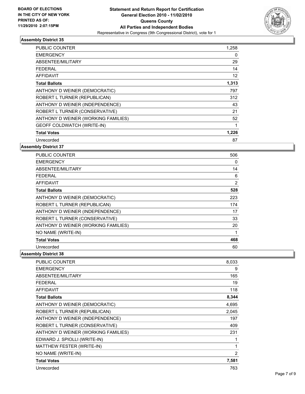

| <b>PUBLIC COUNTER</b>               | 1,258 |
|-------------------------------------|-------|
| <b>EMERGENCY</b>                    | 0     |
| ABSENTEE/MILITARY                   | 29    |
| FEDERAL                             | 14    |
| <b>AFFIDAVIT</b>                    | 12    |
| <b>Total Ballots</b>                | 1,313 |
| ANTHONY D WEINER (DEMOCRATIC)       | 797   |
| ROBERT L TURNER (REPUBLICAN)        | 312   |
| ANTHONY D WEINER (INDEPENDENCE)     | 43    |
| ROBERT L TURNER (CONSERVATIVE)      | 21    |
| ANTHONY D WEINER (WORKING FAMILIES) | 52    |
| <b>GEOFF COLDWATCH (WRITE-IN)</b>   | 1     |
| <b>Total Votes</b>                  | 1,226 |
| Unrecorded                          | 87    |

#### **Assembly District 37**

| <b>PUBLIC COUNTER</b>               | 506 |
|-------------------------------------|-----|
| <b>EMERGENCY</b>                    | 0   |
| ABSENTEE/MILITARY                   | 14  |
| <b>FEDERAL</b>                      | 6   |
| <b>AFFIDAVIT</b>                    | 2   |
| <b>Total Ballots</b>                | 528 |
| ANTHONY D WEINER (DEMOCRATIC)       | 223 |
| ROBERT L TURNER (REPUBLICAN)        | 174 |
| ANTHONY D WEINER (INDEPENDENCE)     | 17  |
| ROBERT L TURNER (CONSERVATIVE)      | 33  |
| ANTHONY D WEINER (WORKING FAMILIES) | 20  |
| NO NAME (WRITE-IN)                  | 1   |
| <b>Total Votes</b>                  | 468 |
| Unrecorded                          | 60  |

| PUBLIC COUNTER                      | 8,033 |
|-------------------------------------|-------|
| <b>EMERGENCY</b>                    | 9     |
| <b>ABSENTEE/MILITARY</b>            | 165   |
| <b>FEDERAL</b>                      | 19    |
| <b>AFFIDAVIT</b>                    | 118   |
| <b>Total Ballots</b>                | 8,344 |
| ANTHONY D WEINER (DEMOCRATIC)       | 4,695 |
| ROBERT L TURNER (REPUBLICAN)        | 2,045 |
| ANTHONY D WEINER (INDEPENDENCE)     | 197   |
| ROBERT L TURNER (CONSERVATIVE)      | 409   |
| ANTHONY D WEINER (WORKING FAMILIES) | 231   |
| EDWARD J. SPIOLLI (WRITE-IN)        | 1     |
| MATTHEW FESTER (WRITE-IN)           | 1     |
| NO NAME (WRITE-IN)                  | 2     |
| <b>Total Votes</b>                  | 7,581 |
| Unrecorded                          | 763   |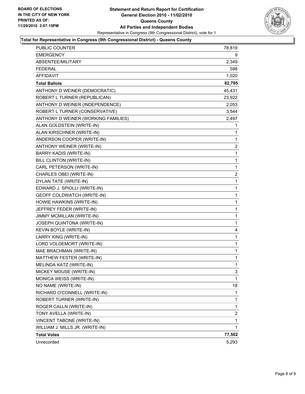

#### **Total for Representative in Congress (9th Congressional District) - Queens County**

| PUBLIC COUNTER                      | 78,819       |
|-------------------------------------|--------------|
| EMERGENCY                           | 9            |
| ABSENTEE/MILITARY                   | 2,349        |
| FEDERAL                             | 598          |
| <b>AFFIDAVIT</b>                    | 1,020        |
| <b>Total Ballots</b>                | 82,795       |
| ANTHONY D WEINER (DEMOCRATIC)       | 45,431       |
| ROBERT L TURNER (REPUBLICAN)        | 23,922       |
| ANTHONY D WEINER (INDEPENDENCE)     | 2,053        |
| ROBERT L TURNER (CONSERVATIVE)      | 3,544        |
| ANTHONY D WEINER (WORKING FAMILIES) | 2,497        |
| ALAN GOLDSTEIN (WRITE-IN)           | 1            |
| ALAN KIRSCHNER (WRITE-IN)           | 1            |
| ANDERSON COOPER (WRITE-IN)          | 1            |
| ANTHONY WEINER (WRITE-IN)           | 2            |
| <b>BARRY KADIS (WRITE-IN)</b>       | 1            |
| BILL CLINTON (WRITE-IN)             | $\mathbf{1}$ |
| CARL PETERSON (WRITE-IN)            | 1            |
| CHARLES OBEI (WRITE-IN)             | 2            |
| DYLAN TATE (WRITE-IN)               | $\mathbf{1}$ |
| EDWARD J. SPIOLLI (WRITE-IN)        | 1            |
| GEOFF COLDWATCH (WRITE-IN)          | 1            |
| HOWIE HAWKINS (WRITE-IN)            | $\mathbf{1}$ |
| JEFFREY FEDER (WRITE-IN)            | 1            |
| JIMMY MCMILLAN (WRITE-IN)           | 1            |
| JOSEPH QUINTONA (WRITE-IN)          | $\mathbf{1}$ |
| KEVIN BOYLE (WRITE-IN)              | 4            |
| LARRY KING (WRITE-IN)               | 1            |
| LORD VOLDEMORT (WRITE-IN)           | $\mathbf{1}$ |
| MAE BRACHMAN (WRITE-IN)             | 1            |
| MATTHEW FESTER (WRITE-IN)           | 1            |
| MELINDA KATZ (WRITE-IN)             | 1            |
| MICKEY MOUSE (WRITE-IN)             | 3            |
| MONICA WEISS (WRITE-IN)             | 1            |
| NO NAME (WRITE-IN)                  | 18           |
| RICHARD O'CONNELL (WRITE-IN)        | 1            |
| ROBERT TURNER (WRITE-IN)            | 1            |
| ROGER CALLN (WRITE-IN)              | 1            |
| TONY AVELLA (WRITE-IN)              | 2            |
| VINCENT TABONE (WRITE-IN)           | 1            |
| WILLIAM J. MILLS JR. (WRITE-IN)     | $\mathbf{1}$ |
| <b>Total Votes</b>                  | 77,502       |
| Unrecorded                          | 5,293        |